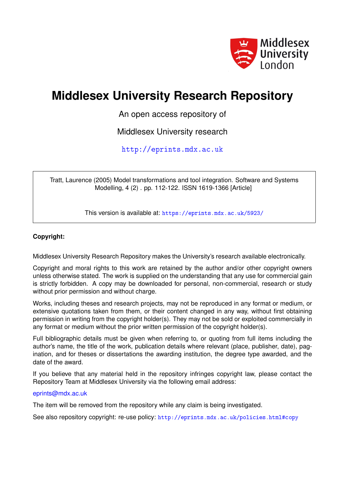

# **Middlesex University Research Repository**

An open access repository of

Middlesex University research

<http://eprints.mdx.ac.uk>

Tratt, Laurence (2005) Model transformations and tool integration. Software and Systems Modelling, 4 (2) . pp. 112-122. ISSN 1619-1366 [Article]

This version is available at: <https://eprints.mdx.ac.uk/5923/>

## **Copyright:**

Middlesex University Research Repository makes the University's research available electronically.

Copyright and moral rights to this work are retained by the author and/or other copyright owners unless otherwise stated. The work is supplied on the understanding that any use for commercial gain is strictly forbidden. A copy may be downloaded for personal, non-commercial, research or study without prior permission and without charge.

Works, including theses and research projects, may not be reproduced in any format or medium, or extensive quotations taken from them, or their content changed in any way, without first obtaining permission in writing from the copyright holder(s). They may not be sold or exploited commercially in any format or medium without the prior written permission of the copyright holder(s).

Full bibliographic details must be given when referring to, or quoting from full items including the author's name, the title of the work, publication details where relevant (place, publisher, date), pagination, and for theses or dissertations the awarding institution, the degree type awarded, and the date of the award.

If you believe that any material held in the repository infringes copyright law, please contact the Repository Team at Middlesex University via the following email address:

### [eprints@mdx.ac.uk](mailto:eprints@mdx.ac.uk)

The item will be removed from the repository while any claim is being investigated.

See also repository copyright: re-use policy: <http://eprints.mdx.ac.uk/policies.html#copy>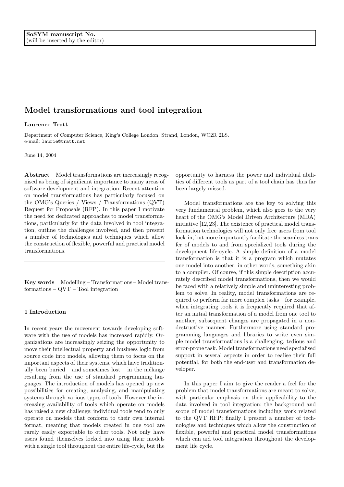# Model transformations and tool integration

#### Laurence Tratt

Department of Computer Science, King's College London, Strand, London, WC2R 2LS. e-mail: laurie@tratt.net

June 14, 2004

Abstract Model transformations are increasingly recognised as being of significant importance to many areas of software development and integration. Recent attention on model transformations has particularly focused on the OMG's Queries / Views / Transformations (QVT) Request for Proposals (RFP). In this paper I motivate the need for dedicated approaches to model transformations, particularly for the data involved in tool integration, outline the challenges involved, and then present a number of technologies and techniques which allow the construction of flexible, powerful and practical model transformations.

Key words Modelling – Transformations – Model transformations – QVT – Tool integration

#### 1 Introduction

In recent years the movement towards developing software with the use of models has increased rapidly. Organizations are increasingly seizing the opportunity to move their intellectual property and business logic from source code into models, allowing them to focus on the important aspects of their systems, which have traditionally been buried – and sometimes  $lost - in the mélange$ resulting from the use of standard programming languages. The introduction of models has opened up new possibilities for creating, analyzing, and manipulating systems through various types of tools. However the increasing availability of tools which operate on models has raised a new challenge: individual tools tend to only operate on models that conform to their own internal format, meaning that models created in one tool are rarely easily exportable to other tools. Not only have users found themselves locked into using their models with a single tool throughout the entire life-cycle, but the opportunity to harness the power and individual abilities of different tools as part of a tool chain has thus far been largely missed.

Model transformations are the key to solving this very fundamental problem, which also goes to the very heart of the OMG's Model Driven Architecture (MDA) initiative [12,23]. The existence of practical model transformation technologies will not only free users from tool lock-in, but more importantly facilitate the seamless transfer of models to and from specialized tools during the development life-cycle. A simple definition of a model transformation is that it is a program which mutates one model into another; in other words, something akin to a compiler. Of course, if this simple description accurately described model transformations, then we would be faced with a relatively simple and uninteresting problem to solve. In reality, model transformations are required to perform far more complex tasks – for example, when integrating tools it is frequently required that after an initial transformation of a model from one tool to another, subsequent changes are propagated in a nondestructive manner. Furthermore using standard programming languages and libraries to write even simple model transformations is a challenging, tedious and error-prone task. Model transformations need specialised support in several aspects in order to realise their full potential, for both the end-user and transformation developer.

In this paper I aim to give the reader a feel for the problem that model transformations are meant to solve, with particular emphasis on their applicability to the data involved in tool integration; the background and scope of model transformations including work related to the QVT RFP; finally I present a number of technologies and techniques which allow the construction of flexible, powerful and practical model transformations which can aid tool integration throughout the development life cycle.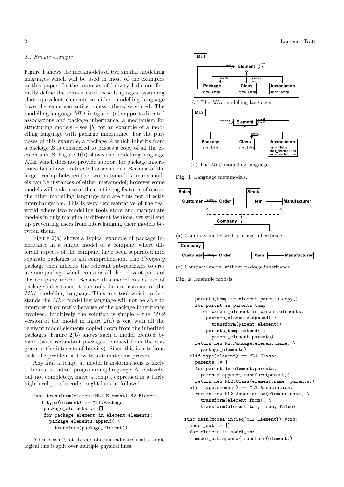#### 1.1 Simple example

Figure 1 shows the metamodels of two similar modelling languages which will be used in most of the examples in this paper. In the interests of brevity I do not formally define the semantics of these languages, assuming that equivalent elements in either modelling language have the same semantics unless otherwise stated. The modelling language  $ML1$  in figure  $1(a)$  supports directed associations and package inheritance, a mechanism for structuring models – see  $[5]$  for an example of a modelling language with package inheritance. For the purposes of this example, a package A which inherits from a package B is considered to posses a copy of all the elements in  $B$ . Figure 1(b) shows the modelling language ML2, which does not provide support for package inheritance but allows undirected associations. Because of the large overlap between the two metamodels, many models can be instances of either metamodel; however some models will make use of the conflicting features of one or the other modelling language and are thus not directly interchangeable. This is very representative of the real world where two modelling tools store and manipulate models in only marginally different fashions, yet still end up preventing users from interchanging their models between them.

Figure 2(a) shows a typical example of package inheritance in a simple model of a company where different aspects of the company have been separated into separate packages to aid comprehension. The Company package then inherits the relevant sub-packages to create one package which contains all the relevant parts of the company model. Because this model makes use of package inheritance it can only be an instance of the ML1 modelling language. Thus any tool which understands the ML2 modelling language will not be able to interpret it correctly because of the package inheritance involved. Intuitively the solution is simple – the ML2 version of the model in figure  $2(a)$  is one with all the relevant model elements copied down from the inherited packages. Figure 2(b) shows such a model created by hand (with redundant packages removed from the diagram in the interests of brevity). Since this is a tedious task, the problem is how to automate this process.

Any first attempt at model transformations is likely to be in a standard programming language. A relatively, but not completely, naïve attempt, expressed in a fairly high-level pseudo-code, might look as follows<sup>1</sup>:

```
func transform(element:ML1.Element):M2.Element:
 if type(element) == ML1.Package:
   package_elements := []
   for package_element in element.elements:
      package_elements.append( \
        transform(package_element))
```


(a) The ML1 modelling language.

 $ML2$ 



(b) The ML2 modelling language.

Fig. 1 Language metamodels.



| Company           |                 |      |                      |
|-------------------|-----------------|------|----------------------|
|                   |                 |      |                      |
| Customer <b>H</b> | orders<br>Order | Item | <b>⊦Manufacturer</b> |
|                   |                 |      |                      |

(b) Company model without package inheritance.

Fig. 2 Example models.

```
parents_temp := element.parents.copy()
    for parent in parents_temp:
      for parent_element in parent.elements:
        package_elements.append( \
          transform(parent_element))
        parents_temp.extend( \
          parent_element.parents)
    return new M2.Package(element.name, \
      package_elements)
  elif type(element) == ML1.Class:
    parents := []
    for parent in element.parents:
      parents.append(transform(parent))
    return new ML2.Class(element.name, parents))
  elif type(element) == ML1.Association:
    return new ML2.Association(element.name, \
      transform(element.from), \
      transform(element.to), true, false)
func main(model_in:Seq{ML1.Element}):Void:
  model_out := []
  for element in model_in:
```
model\_out.append(transform(element))

A backslash  $\setminus$  at the end of a line indicates that a single logical line is split over multiple physical lines.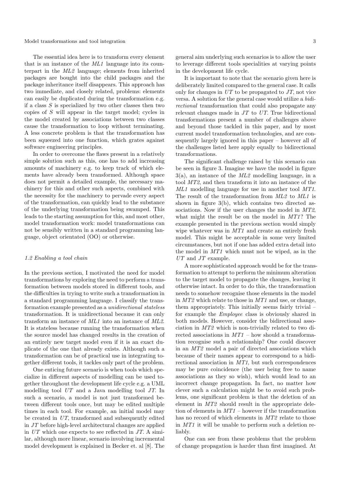The essential idea here is to transform every element that is an instance of the ML1 language into its counterpart in the ML2 language; elements from inherited packages are bought into the child packages and the package inheritance itself disappears. This approach has two immediate, and closely related, problems: elements can easily be duplicated during the transformation e.g. if a class  $S$  is specialized by two other classes then two copies of S will appear in the target model; cycles in the model created by associations between two classes cause the transformation to loop without terminating. A less concrete problem is that the transformation has been squeezed into one function, which grates against software engineering principles.

In order to overcome the flaws present in a relatively simple solution such as this, one has to add increasing amounts of machinery e.g. to keep track of which elements have already been transformed. Although space does not permit a detailed example, the necessary machinery for this and other such aspects, combined with the necessity for the machinery to pervade every aspect of the transformation, can quickly lead to the substance of the underlying transformation being swamped. This leads to the starting assumption for this, and most other, model transformation work: model transformations can not be sensibly written in a standard programming language, object orientated (OO) or otherwise.

#### 1.2 Enabling a tool chain

In the previous section, I motivated the need for model transformations by exploring the need to perform a transformation between models stored in different tools, and the difficulties in trying to write such a transformation in a standard programming language. I classify the transformation example presented as a unidirectional stateless transformation. It is unidirectional because it can only transform an instance of ML1 into an instance of ML2. It is stateless because running the transformation when the source model has changed results in the creation of an entirely new target model even if it is an exact duplicate of the one that already exists. Although such a transformation can be of practical use in integrating together different tools, it tackles only part of the problem.

One enticing future scenario is when tools which specialize in different aspects of modelling can be used together throughout the development life cycle e.g. a UML modelling tool UT and a Java modelling tool JT. In such a scenario, a model is not just transformed between different tools once, but may be edited multiple times in each tool. For example, an initial model may be created in UT, transformed and subsequently edited in JT before high-level architectural changes are applied in UT which one expects to see reflected in JT. A similar, although more linear, scenario involving incremental model development is explained in Becker et. al [8]. The general aim underlying such scenarios is to allow the user to leverage different tools specialities at varying points in the development life cycle.

It is important to note that the scenario given here is deliberately limited compared to the general case. It calls only for changes in  $UT$  to be propagated to  $JT$ , not vice versa. A solution for the general case would utilize a bidirectional transformation that could also propagate any relevant changes made in  $JT$  to  $UT$ . True bidirectional transformations present a number of challenges above and beyond those tackled in this paper, and by most current model transformation technologies, and are consequently largely ignored in this paper – however all of the challenges listed here apply equally to bidirectional transformations.

The significant challenge raised by this scenario can be seen in figure 3. Imagine we have the model in figure  $3(a)$ , an instance of the  $ML2$  modelling language, in a tool MT2, and then transform it into an instance of the ML1 modelling language for use in another tool MT1. The result of the transformation from  $ML2$  to  $ML1$  is shown in figure 3(b), which contains two directed associations. Now if the user changes the model in  $MT2$ , what might the result be on the model in MT1? The example presented in the previous section would simply wipe whatever was in MT1 and create an entirely fresh model. This might be acceptable in some very limited circumstances, but not if one has added extra detail into the model in MT1 which must not be wiped, as in the UT and JT example.

A more sophisticated approach would be for the transformation to attempt to perform the minimum alteration to the target model to propagate the changes, leaving it otherwise intact. In order to do this, the transformation needs to somehow recognise those elements in the model in MT2 which relate to those in MT1 and use, or change, them appropriately. This initially seems fairly trivial – for example the Employee class is obviously shared in both models. However, consider the bidirectional association in MT2 which is non-trivially related to two directed associations in  $MT1$  – how should a transformation recognise such a relationship? One could discover in an MT2 model a pair of directed associations which because of their names appear to correspond to a bidirectional association in MT1, but such correspondences may be pure coincidence (the user being free to name associations as they so wish), which would lead to an incorrect change propagation. In fact, no matter how clever such a calculation might be to avoid such problems, one significant problem is that the deletion of an element in MT2 should result in the appropriate deletion of elements in  $MT1$  – however if the transformation has no record of which elements in  $MT2$  relate to those in MT1 it will be unable to perform such a deletion reliably.

One can see from these problems that the problem of change propagation is harder than first imagined. At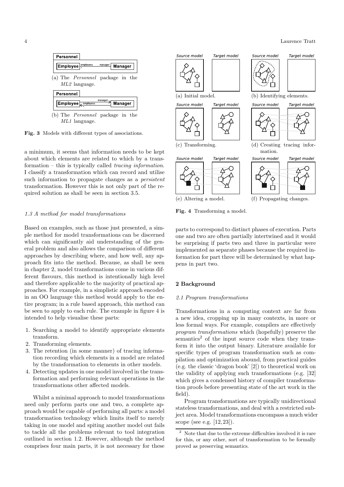

ML1 language.

Fig. 3 Models with different types of associations.

a minimum, it seems that information needs to be kept about which elements are related to which by a transformation – this is typically called tracing information. I classify a transformation which can record and utilise such information to propagate changes as a persistent transformation. However this is not only part of the required solution as shall be seen in section 3.5.

#### 1.3 A method for model transformations

Based on examples, such as those just presented, a simple method for model transformations can be discerned which can significantly aid understanding of the general problem and also allows the comparison of different approaches by describing where, and how well, any approach fits into the method. Because, as shall be seen in chapter 2, model transformations come in various different flavours, this method is intentionally high level and therefore applicable to the majority of practical approaches. For example, in a simplistic approach encoded in an OO language this method would apply to the entire program; in a rule based approach, this method can be seen to apply to each rule. The example in figure 4 is intended to help visualise these parts:

- 1. Searching a model to identify appropriate elements transform.
- 2. Transforming elements.
- 3. The retention (in some manner) of tracing information recording which elements in a model are related by the transformation to elements in other models.
- 4. Detecting updates in one model involved in the transformation and performing relevant operations in the transformations other affected models.

Whilst a minimal approach to model transformations need only perform parts one and two, a complete approach would be capable of performing all parts: a model transformation technology which limits itself to merely taking in one model and spiting another model out fails to tackle all the problems relevant to tool integration outlined in section 1.2. However, although the method comprises four main parts, it is not necessary for these



Fig. 4 Transforming a model.

parts to correspond to distinct phases of execution. Parts one and two are often partially intertwined and it would be surprising if parts two and three in particular were implemented as separate phases because the required information for part three will be determined by what happens in part two.

#### 2 Background

#### 2.1 Program transformations

Transformations in a computing context are far from a new idea, cropping up in many contexts, in more or less formal ways. For example, compilers are effectively program transformations which (hopefully) preserve the semantics<sup>2</sup> of the input source code when they transform it into the output binary. Literature available for specific types of program transformation such as compilation and optimization abound, from practical guides (e.g. the classic 'dragon book' [2]) to theoretical work on the validity of applying such transformations (e.g. [32] which gives a condensed history of compiler transformation proofs before presenting state of the art work in the field).

Program transformations are typically unidirectional stateless transformations, and deal with a restricted subject area. Model transformations encompass a much wider scope (see e.g. [12,23]).

<sup>2</sup> Note that due to the extreme difficulties involved it is rare for this, or any other, sort of transformation to be formally proved as preserving semantics.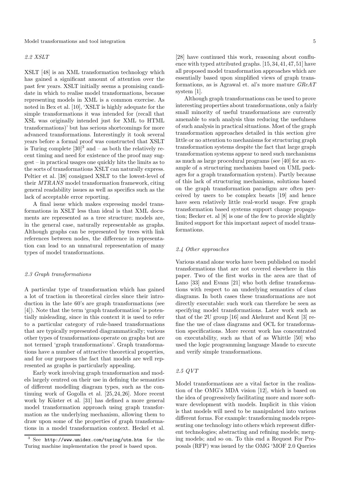Model transformations and tool integration 5

#### 2.2 XSLT

XSLT [48] is an XML transformation technology which has gained a significant amount of attention over the past few years. XSLT initially seems a promising candidate in which to realise model transformations, because representing models in XML is a common exercise. As noted in Bex et al. [10], 'XSLT is highly adequate for the simple transformations it was intended for (recall that XSL was originally intended just for XML to HTML transformations)' but has serious shortcomings for more advanced transformations. Interestingly it took several years before a formal proof was constructed that XSLT is Turing complete  $[30]^3$  and – as both the relatively recent timing and need for existence of the proof may suggest – in practical usages one quickly hits the limits as to the sorts of transformations XSLT can naturally express. Peltier et al. [38] consigned XSLT to the lowest-level of their MTRANS model transformation framework, citing general readability issues as well as specifics such as the lack of acceptable error reporting.

A final issue which makes expressing model transformations in XSLT less than ideal is that XML documents are represented as a tree structure; models are, in the general case, naturally representable as graphs. Although graphs can be represented by trees with link references between nodes, the difference in representation can lead to an unnatural representation of many types of model transformations.

#### 2.3 Graph transformations

A particular type of transformation which has gained a lot of traction in theoretical circles since their introduction in the late 60's are graph transformations (see [4]). Note that the term 'graph transformation' is potentially misleading, since in this context it is used to refer to a particular category of rule-based transformations that are typically represented diagrammatically; various other types of transformations operate on graphs but are not termed 'graph transformations'. Graph transformations have a number of attractive theoretical properties, and for our purposes the fact that models are well represented as graphs is particularly appealing.

Early work involving graph transformation and models largely centred on their use in defining the semantics of different modelling diagram types, such as the continuing work of Gogolla et al. [25,24,26]. More recent work by Küster et al. [31] has defined a more general model transformation approach using graph transformation as the underlying mechanism, allowing them to draw upon some of the properties of graph transformations in a model transformation context. Heckel et al. [28] have continued this work, reasoning about confluence with typed attributed graphs. [15,34,41,47,51] have all proposed model transformation approaches which are essentially based upon simplified views of graph transformations, as is Agrawal et. al's more mature GReAT system [1].

Although graph transformations can be used to prove interesting properties about transformations, only a fairly small minority of useful transformations are currently amenable to such analysis thus reducing the usefulness of such analysis in practical situations. Most of the graph transformation approaches detailed in this section give little or no attention to mechanisms for structuring graph transformation systems despite the fact that large graph transformation systems appear to need such mechanisms as much as large procedural programs (see [40] for an example of a structuring mechanism based on UML packages for a graph transformation system). Partly because of this lack of structuring mechanisms, solutions based on the graph transformation paradigm are often perceived by users to be complex beasts [19] and hence have seen relatively little real-world usage. Few graph transformation based systems support change propagation; Becker et. al [8] is one of the few to provide slightly limited support for this important aspect of model transformations.

#### 2.4 Other approaches

Various stand alone works have been published on model transformations that are not covered elsewhere in this paper. Two of the first works in the area are that of Lano [33] and Evans [21] who both define transformations with respect to an underlying semantics of class diagrams. In both cases these transformations are not directly executable: such work can therefore be seen as specifying model transformations. Later work such as that of the 2U group [16] and Akehurst and Kent [3] refine the use of class diagrams and OCL for transformation specifications. More recent work has concentrated on executability, such as that of as Whittle [50] who used the logic programming language Maude to execute and verify simple transformations.

#### 2.5 QVT

Model transformations are a vital factor in the realization of the OMG's MDA vision [12], which is based on the idea of progressively facilitating more and more software development with models. Implicit in this vision is that models will need to be manipulated into various different forms. For example: transforming models representing one technology into others which represent different technologies; abstracting and refining models; merging models; and so on. To this end a Request For Proposals (RFP) was issued by the OMG 'MOF 2.0 Queries

<sup>3</sup> See http://www.unidex.com/turing/utm.htm for the Turing machine implementation the proof is based upon.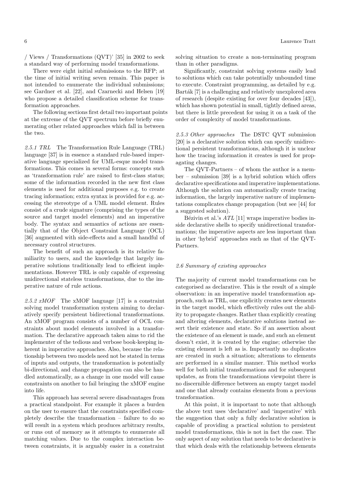/ Views / Transformations (QVT)' [35] in 2002 to seek a standard way of performing model transformations.

There were eight initial submissions to the RFP; at the time of initial writing seven remain. This paper is not intended to enumerate the individual submissions; see Gardner et al. [22], and Czarnecki and Helsen [19] who propose a detailed classification scheme for transformation approaches.

The following sections first detail two important points at the extreme of the QVT spectrum before briefly enumerating other related approaches which fall in between the two.

2.5.1 TRL The Transformation Rule Language (TRL) language [37] is in essence a standard rule-based imperative language specialized for UML-esque model transformations. This comes in several forms: concepts such as 'transformation rule' are raised to first-class status; some of the information recorded in the new first class elements is used for additional purposes e.g. to create tracing information; extra syntax is provided for e.g. accessing the stereotype of a UML model element. Rules consist of a crude signature (comprising the types of the source and target model elements) and an imperative body. The syntax and semantics of actions are essentially that of the Object Constraint Language (OCL) [36] augmented with side-effects and a small handful of necessary control structures.

The benefit of such an approach is its relative familiarity to users, and the knowledge that largely imperative solutions traditionally lead to efficient implementations. However TRL is only capable of expressing unidirectional stateless transformations, due to the imperative nature of rule actions.

2.5.2  $xMOF$  The xMOF language [17] is a constraint solving model transformation system aiming to declaratively specify persistent bidirectional transformations. An xMOF program consists of a number of OCL constraints about model elements involved in a transformation. The declarative approach taken aims to rid the implementer of the tedious and verbose book-keeping inherent in imperative approaches. Also, because the relationship between two models need not be stated in terms of inputs and outputs, the transformation is potentially bi-directional, and change propagation can also be handled automatically, as a change in one model will cause constraints on another to fail bringing the xMOF engine into life.

This approach has several severe disadvantages from a practical standpoint. For example it places a burden on the user to ensure that the constraints specified completely describe the transformation – failure to do so will result in a system which produces arbitrary results, or runs out of memory as it attempts to enumerate all matching values. Due to the complex interaction between constraints, it is arguably easier in a constraint solving situation to create a non-terminating program than in other paradigms.

Significantly, constraint solving systems easily lead to solutions which can take potentially unbounded time to execute. Constraint programming, as detailed by e.g. Barták [7] is a challenging and relatively unexplored area of research (despite existing for over four decades [43]), which has shown potential in small, tightly defined areas, but there is little precedent for using it on a task of the order of complexity of model transformations.

2.5.3 Other approaches The DSTC QVT submission [20] is a declarative solution which can specify unidirectional persistent transformations, although it is unclear how the tracing information it creates is used for propagating changes.

The QVT-Partners – of whom the author is a member – submission [39] is a hybrid solution which offers declarative specifications and imperative implementations. Although the solution can automatically create tracing information, the largely imperative nature of implementations complicates change propagation (but see [44] for a suggested solution).

Bézivin et al.'s  $ATL$  [11] wraps imperative bodies inside declarative shells to specify unidirectional transformations; the imperative aspects are less important than in other 'hybrid' approaches such as that of the QVT-Partners.

#### 2.6 Summary of existing approaches

The majority of current model transformations can be categorised as declarative. This is the result of a simple observation: in an imperative model transformation approach, such as TRL, one explicitly creates new elements in the target model, which effectively rules out the ability to propagate changes. Rather than explicitly creating and altering elements, declarative solutions instead assert their existence and state. So if an assertion about the existence of an element is made, and such an element doesn't exist, it is created by the engine; otherwise the existing element is left as is. Importantly no duplicates are created in such a situation; alterations to elements are performed in a similar manner. This method works well for both initial transformations and for subsequent updates, as from the transformations viewpoint there is no discernible difference between an empty target model and one that already contains elements from a previous transformation.

At this point, it is important to note that although the above text uses 'declarative' and 'imperative' with the suggestion that only a fully declarative solution is capable of providing a practical solution to persistent model transformations, this is not in fact the case. The only aspect of any solution that needs to be declarative is that which deals with the relationship between elements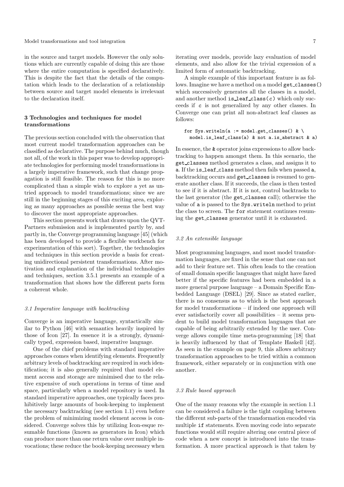in the source and target models. However the only solutions which are currently capable of doing this are those where the entire computation is specified declaratively. This is despite the fact that the details of the computation which leads to the declaration of a relationship between source and target model elements is irrelevant to the declaration itself.

#### 3 Technologies and techniques for model transformations

The previous section concluded with the observation that most current model transformation approaches can be classified as declarative. The purpose behind much, though not all, of the work in this paper was to develop appropriate technologies for performing model transformations in a largely imperative framework, such that change propagation is still feasible. The reason for this is no more complicated than a simple wish to explore a yet as untried approach to model transformations; since we are still in the beginning stages of this exciting area, exploring as many approaches as possible seems the best way to discover the most appropriate approaches.

This section presents work that draws upon the QVT-Partners submission and is implemented partly by, and partly in, the Converge programming language [45] (which has been developed to provide a flexible workbench for experimentation of this sort). Together, the technologies and techniques in this section provide a basis for creating unidirectional persistent transformations. After motivation and explanation of the individual technologies and techniques, section 3.5.1 presents an example of a transformation that shows how the different parts form a coherent whole.

#### 3.1 Imperative language with backtracking

Converge is an imperative language, syntactically similar to Python [46] with semantics heavily inspired by those of Icon [27]. In essence it is a strongly, dynamically typed, expression based, imperative language.

One of the chief problems with standard imperative approaches comes when identifying elements. Frequently arbitrary levels of backtracking are required in such identification; it is also generally required that model element access and storage are minimised due to the relative expensive of such operations in terms of time and space, particularly when a model repository is used. In standard imperative approaches, one typically faces prohibitively large amounts of book-keeping to implement the necessary backtracking (see section 1.1) even before the problem of minimizing model element access is considered. Converge solves this by utilizing Icon-esque resumable functions (known as generators in Icon) which can produce more than one return value over multiple invocations; these reduce the book-keeping necessary when iterating over models, provide lazy evaluation of model elements, and also allow for the trivial expression of a limited form of automatic backtracking.

A simple example of this important feature is as follows. Imagine we have a method on a model get\_classes() which successively generates all the classes in a model, and another method  $is\_leaf\_class(c)$  which only succeeds if c is not generalized by any other classes. In Converge one can print all non-abstract leaf classes as follows:

```
for Sys.writeln(a := model.get_classes() & \
  model.is_leaf_class(a) & not a.is_abstract & a)
```
In essence, the & operator joins expressions to allow backtracking to happen amongst them. In this scenario, the get classes method generates a class, and assigns it to a. If the is leaf class method then fails when passed a, backtracking occurs and get classes is resumed to generate another class. If it succeeds, the class is then tested to see if it is abstract. If it is not, control backtracks to the last generator (the get classes call); otherwise the value of a is passed to the Sys.writeln method to print the class to screen. The for statement continues resuming the get classes generator until it is exhausted.

#### 3.2 An extensible language

Most programming languages, and most model transformation languages, are fixed in the sense that one can not add to their feature set. This often leads to the creation of small domain specific languages that might have fared better if the specific features had been embedded in a more general purpose language – a Domain Specific Embedded Language (DSEL) [29]. Since as stated earlier, there is no consensus as to which is the best approach for model transformations – if indeed one approach will ever satisfactorily cover all possibilities – it seems prudent to build model transformation languages that are capable of being arbitrarily extended by the user. Converge allows compile time meta-programming [18] that is heavily influenced by that of Template Haskell [42]. As seen in the example on page 9, this allows arbitrary transformation approaches to be tried within a common framework, either separately or in conjunction with one another.

#### 3.3 Rule based approach

One of the many reasons why the example in section 1.1 can be considered a failure is the tight coupling between the different sub-parts of the transformation encoded via multiple if statements. Even moving code into separate functions would still require altering one central piece of code when a new concept is introduced into the transformation. A more practical approach is that taken by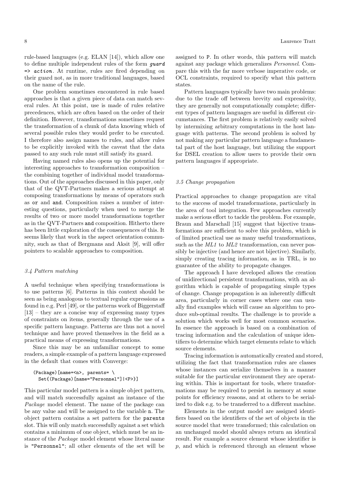rule-based languages (e.g. ELAN [14]), which allow one to define multiple independent rules of the form guard  $\Rightarrow$  action. At runtime, rules are fired depending on their guard not, as in more traditional languages, based on the name of the rule.

One problem sometimes encountered in rule based approaches is that a given piece of data can match several rules. At this point, use is made of rules relative precedences, which are often based on the order of their definition. However, transformations sometimes request the transformation of a chunk of data knowing which of several possible rules they would prefer to be executed. I therefore also assign names to rules, and allow rules to be explicitly invoked with the caveat that the data passed to any such rule must still satisfy its guard.

Having named rules also opens up the potential for interesting approaches to transformation composition – the combining together of individual model transformations. Out of the approaches discussed in this paper, only that of the QVT-Partners makes a serious attempt at composing transformations by means of operators such as or and and. Composition raises a number of interesting questions, particularly when used to merge the results of two or more model transformations together as in the QVT-Partners and composition. Hitherto there has been little exploration of the consequences of this. It seems likely that work in the aspect orientation community, such as that of Bergmans and Aksit [9], will offer pointers to scalable approaches to composition.

#### 3.4 Pattern matching

A useful technique when specifying transformations is to use patterns [6]. Patterns in this context should be seen as being analogous to textual regular expressions as found in e.g. Perl [49], or the patterns work of Biggerstaff [13] – they are a concise way of expressing many types of constraints on items, generally through the use of a specific pattern language. Patterns are thus not a novel technique and have proved themselves in the field as a practical means of expressing transformations.

Since this may be an unfamiliar concept to some readers, a simple example of a pattern language expressed in the default that comes with Converge:

#### (Package)[name=<n>, parents= \ Set{(Package)[name="Personnel"]|<P>}]

This particular model pattern is a simple object pattern, and will match successfully against an instance of the Package model element. The name of the package can be any value and will be assigned to the variable n. The object pattern contains a set pattern for the parents slot. This will only match successfully against a set which contains a minimum of one object, which must be an instance of the Package model element whose literal name is "Personnel"; all other elements of the set will be assigned to P. In other words, this pattern will match against any package which generalizes Personnel. Compare this with the far more verbose imperative code, or OCL constraints, required to specify what this pattern states.

Pattern languages typically have two main problems: due to the trade off between brevity and expressivity, they are generally not computationally complete; different types of pattern languages are useful in different circumstances. The first problem is relatively easily solved by intermixing arbitrary computations in the host language with patterns. The second problem is solved by not making any particular pattern language a fundamental part of the host language, but utilizing the support for DSEL creation to allow users to provide their own pattern languages if appropriate.

#### 3.5 Change propagation

Practical approaches to change propagation are vital to the success of model transformations, particularly in the area of tool integration. Few approaches currently make a serious effort to tackle the problem. For example, Braun and Marschall [15] suggest that bijective transformations are sufficient to solve this problem, which is of limited practical use as many useful transformations, such as the ML1 to ML2 transformation, can never possibly be injective (and hence are not bijective). Similarly, simply creating tracing information, as in TRL, is no guarantee of the ability to propagate changes.

The approach I have developed allows the creation of unidirectional persistent transformations, with an algorithm which is capable of propagating simple types of change. Change propagation is an inherently difficult area, particularly in corner cases where one can usually find examples which will cause an algorithm to produce sub-optimal results. The challenge is to provide a solution which works well for most common scenarios. In essence the approach is based on a combination of tracing information and the calculation of unique identifiers to determine which target elements relate to which source elements.

Tracing information is automatically created and stored, utilizing the fact that transformation rules are classes whose instances can serialize themselves in a manner suitable for the particular environment they are operating within. This is important for tools, where transformations may be required to persist in memory at some points for efficiency reasons, and at others to be serialized to disk e.g. to be transferred to a different machine.

Elements in the output model are assigned identifiers based on the identifiers of the set of objects in the source model that were transformed; this calculation on an unchanged model should always return an identical result. For example a source element whose identifier is p, and which is referenced through an element whose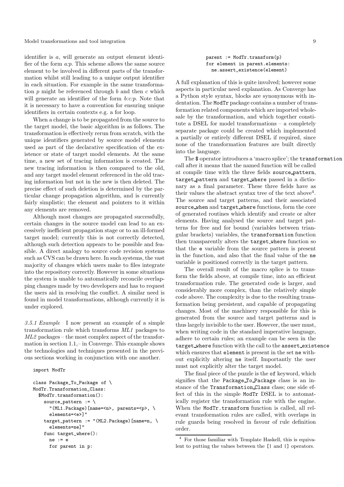identifier is a, will generate an output element identifier of the form a:p. This scheme allows the same source element to be involved in different parts of the transformation whilst still leading to a unique output identifier in each situation. For example in the same transformation  $p$  might be referenced through  $b$  and then  $c$  which will generate an identifier of the form *b:c:p*. Note that it is necessary to have a convention for ensuring unique identifiers in certain contexts e.g. a for loop.

When a change is to be propagated from the source to the target model, the basic algorithm is as follows. The transformation is effectively rerun from scratch, with the unique identifiers generated by source model elements used as part of the declarative specification of the existence or state of target model elements. At the same time, a new set of tracing information is created. The new tracing information is then compared to the old, and any target model element referenced in the old tracing information but not in the new is then deleted. The precise effect of such deletion is determined by the particular change propagation algorithm, and is currently fairly simplistic; the element and pointers to it within any elements are removed.

Although most changes are propagated successfully, certain changes in the source model can lead to an excessively inefficient propagation stage or to an ill-formed target model; currently this is not correctly detected, although such detection appears to be possible and feasible. A direct analogy to source code revision systems such as CVS can be drawn here. In such systems, the vast majority of changes which users make to files integrate into the repository correctly. However in some situations the system is unable to automatically reconcile overlapping changes made by two developers and has to request the users aid in resolving the conflict. A similar need is found in model transformations, although currently it is under explored.

3.5.1 Example I now present an example of a simple transformation rule which transforms ML1 packages to ML2 packages – the most complex aspect of the transformation in section 1.1,– in Converge. This example shows the technologies and techniques presented in the previous sections working in conjunction with one another.

import ModTr

```
class Package_To_Package of \
ModTr.Transformation_Class:
  $ModTr.transformation():
    source_pattern := \
      "(ML1.Package)[name=<n>, parents=<p>, \
      elements=<e>]"
    target_pattern := "(ML2.Package)[name=n, \
      elements=ne]"
    func target_where():
      ne := e
      for parent in p:
```
#### parent := ModTr.transform(p) for element in parent.elements: ne.assert\_existence(element)

A full explanation of this is quite involved; however some aspects in particular need explanation. As Converge has a Python style syntax, blocks are synonymous with indentation. The ModTr package contains a number of transformation related components which are imported wholesale by the transformation, and which together constitute a DSEL for model transformations – a completely separate package could be created which implemented a partially or entirely different DSEL if required, since none of the transformation features are built directly into the language.

The \$ operator introduces a 'macro splice'; the transformation call after it means that the named function will be called at compile time with the three fields source pattern, target pattern and target where passed in a dictionary as a final parameter. These three fields have as their values the abstract syntax tree of the text above<sup>4</sup>. The source and target patterns, and their associated source when and target where functions, form the core of generated routines which identify and create or alter elements. Having analysed the source and target patterns for free and for bound (variables between triangular brackets) variables, the transformation function then transparently alters the target where function so that the e variable from the source pattern is present in the function, and also that the final value of the ne variable is positioned correctly in the target pattern.

The overall result of the macro splice is to transform the fields above, at compile time, into an efficient transformation rule. The generated code is larger, and considerably more complex, than the relatively simple code above. The complexity is due to the resulting transformation being persistent, and capable of propagating changes. Most of the machinery responsible for this is generated from the source and target patterns and is thus largely invisible to the user. However, the user must, when writing code in the standard imperative language, adhere to certain rules; an example can be seen in the target where function with the call to the assert existence which ensures that element is present in the set ne without explicitly altering ne itself. Importantly the user must not explicitly alter the target model.

The final piece of the puzzle is the of keyword, which signifies that the Package To Package class is an instance of the Transformation Class class; one side effect of this in the simple ModTr DSEL is to automatically register the transformation rule with the engine. When the ModTr.transform function is called, all relevant transformation rules are called, with overlaps in rule guards being resolved in favour of rule definition order.

<sup>4</sup> For those familiar with Template Haskell, this is equivalent to putting the values between the [| and |] operators.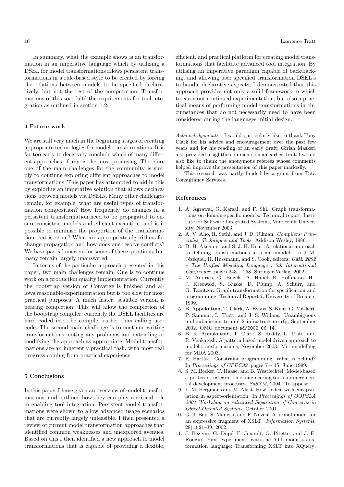In summary, what the example shows is an transformation in an imperative language which by utilizing a DSEL for model transformations allows persistent transformations in a rule-based style to be created by forcing the relations between models to be specified declaratively, but not the rest of the computation. Transformations of this sort fulfil the requirements for tool integration as outlined in section 1.2.

#### 4 Future work

We are still very much in the beginning stages of creating appropriate technologies for model transformations. It is far too early to decisively conclude which of many different approaches, if any, is the most promising. Therefore one of the main challenges for the community is simply to continue exploring different approaches to model transformations. This paper has attempted to aid in this by exploring an imperative solution that allows declarations between models via DSELs. Many other challenges remain, for example: what are useful types of transformation composition? How frequently do changes in a persistent transformation need to be propagated to ensure consistent models and efficient execution, and is it possible to minimise the proportion of the transformation that is rerun? What are appropriate algorithms for change propagation and how does one resolve conflicts? We have partial answers for some of these questions, but many remain largely unanswered.

In terms of the particular approach presented in this paper, two main challenges remain. One is to continue work on a production quality implementation. Currently the bootstrap version of Converge is finished and allows reasonable experimentation but is too slow for most practical purposes. A much faster, scalable version is nearing completion. This will allow the completion of the bootstrap compiler; currently the DSEL facilities are hard coded into the compiler rather than calling user code. The second main challenge is to continue writing transformations, noting any problems and extending or modifying the approach as appropriate. Model transformations are an inherently practical task, with most real progress coming from practical experience.

#### 5 Conclusions

In this paper I have given an overview of model transformations, and outlined how they can play a critical rôle in enabling tool integration. Persistent model transformations were shown to allow advanced usage scenarios that are currently largely unfeasible. I then presented a review of current model transformation approaches that identified common weaknesses and unexplored avenues. Based on this I then identified a new approach to model transformations that is capable of providing a flexible, efficient, and practical platform for creating model transformations that facilitate advanced tool integration. By utilising an imperative paradigm capable of backtracking, and allowing user specified transformation DSEL's to handle declarative aspects, I demonstrated that this approach provides not only a solid framework in which to carry out continued experimentation, but also a practical means of performing model transformations in circumstances that do not necessarily need to have been considered during the languages initial design.

Acknowledgements I would particularly like to thank Tony Clark for his advice and encouragement over the past few years and for his reading of an early draft; Girish Maskeri also provided insightful comments on an earlier draft. I would also like to thank the anonymous referees whose comments helped improve the presentation of this paper markedly.

This research was partly funded by a grant from Tata Consultancy Services.

#### References

- 1. A. Agrawal, G. Karsai, and F. Shi. Graph transformations on domain-specific models. Technical report, Institute for Software Integrated Systems, Vanderbilt University, November 2003.
- 2. A. V. Aho, R. Sethi, and J. D. Ullman. Compilers: Principles, Techniques and Tools. Addison Wesley, 1986.
- 3. D. H. Akehurst and S. J. H. Kent. A relational approach to defining transformations in a metamodel. In J.-M. Jézéquel, H. Hussmann, and S. Cook, editors, UML 2002 – The Unified Modeling Language : 5th International Conference, pages 243 – 258. Springer-Verlag, 2002.
- 4. M. Andries, G. Engels, A. Habel, B. Hoffmann, H.- J. Kreowski, S. Kuske, D. Plump, A. Schürr, and G. Taentzer. Graph transformation for specification and programming. Technical Report 7, University of Bremen, 1999.
- 5. B. Appukuttan, T. Clark, A. Evans, S. Kent, G. Maskeri, P. Sammut, L. Tratt, and J. S. Willans. Unambiguous uml submission to uml 2 infrastructure rfp, September 2002. OMG document ad/2002-06-14.
- 6. B. K. Appukuttan, T. Clark, S. Reddy, L. Tratt, and R. Venkatesh. A pattern based model driven approach to model transformations, November 2003. Metamodelling for MDA 2003.
- 7. R. Barták. Constraint programming: What is behind? In Proceedings of CPDC99, pages  $7 - 15$ , June 1999.
- 8. S. M. Becker, T. Haase, and B. Westfechtel. Model-based a-posteriori integration of engineering tools for incremental development processes. SoSYM, 2004. To appear.
- 9. L. M. Bergmans and M. Aksit. How to deal with encapsulation in aspect-orientation. In Proceedings of OOPSLA 2001 Workshop on Advanced Separation of Concerns in Object-Oriented Systems, October 2001.
- 10. G. J. Bex, S. Maneth, and F. Neven. A formal model for an expressive fragment of XSLT. Information Systems, 28(1):21–39, 2002.
- 11. J. Bézivin, G. Dupé, F. Jouault, G. Pitette, and J. E. Rougui. First experiments with the ATL model transformation language: Transforming XSLT into XQuery.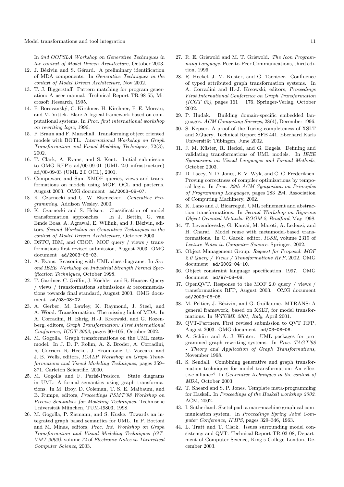In 2nd OOPSLA Workshop on Generative Techniques in the context of Model Driven Architecture, October 2003.

- 12. J. Bézivin and S. Gérard. A preliminary identification of MDA components. In Generative Techniques in the context of Model Driven Architecture, Nov 2002.
- 13. T. J. Biggerstaff. Pattern matching for program generation: A user manual. Technical Report TR-98-55, Microsoft Research, 1995.
- 14. P. Borovansk´y, C. Kirchner, H. Kirchner, P.-E. Moreau, and M. Vittek. Elan: A logical framework based on computational systems. In Proc. first international workshop on rewriting logic, 1996.
- 15. P. Braun and F. Marschall. Transforming object oriented models with BOTL. International Workshop on Graph Transformation and Visual Modeling Techniques, 72(3), 2002.
- 16. T. Clark, A. Evans, and S. Kent. Initial submission to OMG RFP's ad/00-09-01 (UML 2.0 infrastructure) ad/00-09-03 (UML 2.0 OCL), 2001.
- 17. Compuware and Sun. XMOF queries, views and transformations on models using MOF, OCL and patterns, August 2003. OMG document ad/2003-08-07.
- 18. K. Czarnecki and U. W. Eisenecker. Generative Programming. Addison Wesley, 2000.
- 19. K. Czarnecki and S. Helsen. Classification of model transformation approaches. In J. Bettin, G. van Emde Boas, A. Agrawal, E. Willink, and J. Bézivin, editors, Second Workshop on Generative Techniques in the context of Model Driven Architecture, October 2003.
- 20. DSTC, IBM, and CBOP. MOF query / views / transformations first revised submission, August 2003. OMG document ad/2003-08-03.
- 21. A. Evans. Reasoning with UML class diagrams. In Second IEEE Workshop on Industrial Strength Formal Specification Techniques, October 1998.
- 22. T. Gardner, C. Griffin, J. Koehler, and R. Hauser. Query / views / transformations submissions & recommendations towards final standard, August 2003. OMG document ad/03-08-02.
- 23. A. Gerber, M. Lawley, K. Raymond, J. Steel, and A. Wood. Transformation: The missing link of MDA. In A. Corradini, H. Ehrig, H.-J. Kreowski, and G. Rozenberg, editors, Graph Transformation: First International Conference, ICGT 2002, pages 90–105, October 2002.
- 24. M. Gogolla. Graph transformations on the UML metamodel. In J. D. P. Rolim, A. Z. Broder, A. Corradini, R. Gorrieri, R. Heckel, J. Hromkovic, U. Vaccaro, and J. B. Wells, editors, ICALP Workshop on Graph Transformations and Visual Modeling Techniques, pages 359– 371. Carleton Scientific, 2000.
- 25. M. Gogolla and F. Parisi-Presicce. State diagrams in UML: A formal semantics using graph transformations. In M. Broy, D. Coleman, T. S. E. Maibaum, and B. Rumpe, editors, Proceedings PSMT'98 Workshop on Precise Semantics for Modeling Techniques. Technische Universität München, TUM-I9803, 1998.
- 26. M. Gogolla, P. Ziemann, and S. Kuske. Towards an integrated graph based semantics for UML. In P. Bottoni and M. Minas, editors, Proc. Int. Workshop on Graph Transformation and Visual Modeling Techniques (GT-VMT 2002), volume 72 of Electronic Notes in Theoretical Computer Science, 2003.
- 27. R. E. Griswold and M. T. Griswold. The Icon Programming Language. Peer-to-Peer Communications, third edition, 1996.
- 28. R. Heckel, J. M. Küster, and G. Taentzer. Confluence of typed attributed graph transformation systems. In A. Corradini and H.-J. Kreowski, editors, Proceedings First International Conference on Graph Transformation  $(ICGT 02)$ , pages 161 – 176. Springer-Verlag, October 2002.
- 29. P. Hudak. Building domain-specific embedded languages. ACM Computing Surveys, 28(4), December 1996.
- 30. S. Kepser. A proof of the Turing-completeness of XSLT and XQuery. Technical Report SFB 441, Eberhard Karls Universität Tübingen, June 2002.
- 31. J. M. Küster, R. Heckel, and G. Engels. Defining and validating transformations of UML models. In IEEE Symposium on Visual Languages and Formal Methods, October 2003.
- 32. D. Lacey, N. D. Jones, E. V. Wyk, and C. C. Frederiksen. Proving correctness of compiler optimizations by temporal logic. In Proc. 29th ACM Symposium on Principles of Programming Languages, pages 283–294. Association of Computing Machinery, 2002.
- 33. K. Lano and J. Bicarregui. UML refinement and abstraction transformations. In Second Workshop on Rigorous Object Oriented Methods: ROOM 2, Bradford, May 1998.
- 34. T. Levendovszky, G. Karsai, M. Maroti, A. Ledeczi, and H. Charaf. Model reuse with metamodel-based transformations. In C. Gacek, editor, ICSR, volume 2319 of Lecture Notes in Computer Science. Springer, 2002.
- 35. Object Management Group. Request for Proposal: MOF 2.0 Query / Views / Transformations RFP, 2002. OMG document ad/2002-04-10.
- 36. Object constraint language specification, 1997. OMG document ad/97-08-08.
- 37. OpenQVT. Response to the MOF 2.0 query / views / transformations RFP, August 2003. OMG document ad/2003-08-05.
- 38. M. Peltier, J. Bézivin, and G. Guillaume. MTRANS: A general framework, based on XSLT, for model transformations. In WTUML 2001, Italy, April 2001.
- 39. QVT-Partners. First revised submission to QVT RFP, August 2003. OMG document ad/03-08-08.
- 40. A. Schürr and A. J. Winter. UML packages for programmed graph rewriting systems. In Proc. TAGT'98 - Theory and Application of Graph Transformations, November 1998.
- 41. S. Sendall. Combining generative and graph transformation techniques for model transformation: An effective alliance? In Generative techniques in the context of MDA, October 2003.
- 42. T. Sheard and S. P. Jones. Template meta-programming for Haskell. In Proceedings of the Haskell workshop 2002. ACM, 2002.
- 43. I. Sutherland. Sketchpad: a man–machine graphical communication system. In Proceedings Spring Joint Computer Conference, IFIPS, pages 329–346, 1963.
- 44. L. Tratt and T. Clark. Issues surrounding model consistency and QVT. Technical Report TR-03-08, Department of Computer Science, King's College London, December 2003.